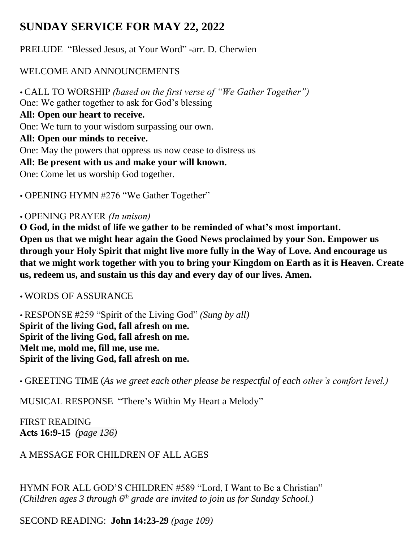# **SUNDAY SERVICE FOR MAY 22, 2022**

PRELUDE "Blessed Jesus, at Your Word" -arr. D. Cherwien

## WELCOME AND ANNOUNCEMENTS

 CALL TO WORSHIP *(based on the first verse of "We Gather Together")* One: We gather together to ask for God's blessing **All: Open our heart to receive.** One: We turn to your wisdom surpassing our own. **All: Open our minds to receive.** One: May the powers that oppress us now cease to distress us **All: Be present with us and make your will known.** One: Come let us worship God together.

OPENING HYMN #276 "We Gather Together"

## OPENING PRAYER *(In unison)*

**O God, in the midst of life we gather to be reminded of what's most important. Open us that we might hear again the Good News proclaimed by your Son. Empower us through your Holy Spirit that might live more fully in the Way of Love. And encourage us that we might work together with you to bring your Kingdom on Earth as it is Heaven. Create us, redeem us, and sustain us this day and every day of our lives. Amen.**

WORDS OF ASSURANCE

 RESPONSE #259 "Spirit of the Living God" *(Sung by all)*  **Spirit of the living God, fall afresh on me. Spirit of the living God, fall afresh on me. Melt me, mold me, fill me, use me. Spirit of the living God, fall afresh on me.** 

• GREETING TIME (*As we greet each other please be respectful of each other's comfort level.)*

MUSICAL RESPONSE "There's Within My Heart a Melody"

FIRST READING **Acts 16:9-15** *(page 136)*

A MESSAGE FOR CHILDREN OF ALL AGES

HYMN FOR ALL GOD'S CHILDREN #589 "Lord, I Want to Be a Christian" *(Children ages 3 through 6th grade are invited to join us for Sunday School.)*

SECOND READING: **John 14:23-29** *(page 109)*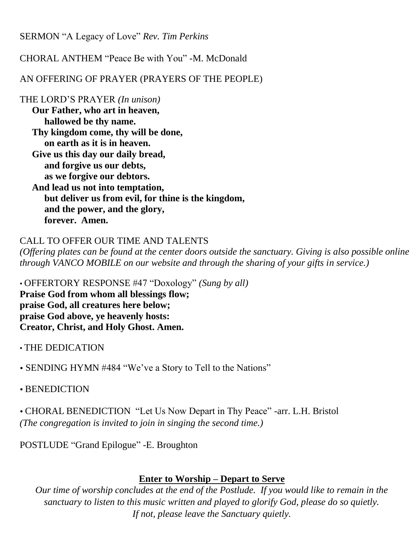SERMON "A Legacy of Love" *Rev. Tim Perkins*

CHORAL ANTHEM "Peace Be with You" -M. McDonald

AN OFFERING OF PRAYER (PRAYERS OF THE PEOPLE)

THE LORD'S PRAYER *(In unison)*

**Our Father, who art in heaven, hallowed be thy name. Thy kingdom come, thy will be done, on earth as it is in heaven. Give us this day our daily bread, and forgive us our debts, as we forgive our debtors. And lead us not into temptation, but deliver us from evil, for thine is the kingdom, and the power, and the glory,**

**forever. Amen.** 

### CALL TO OFFER OUR TIME AND TALENTS

*(Offering plates can be found at the center doors outside the sanctuary. Giving is also possible online through VANCO MOBILE on our website and through the sharing of your gifts in service.)*

• OFFERTORY RESPONSE #47 "Doxology" *(Sung by all)*  **Praise God from whom all blessings flow; praise God, all creatures here below; praise God above, ye heavenly hosts: Creator, Christ, and Holy Ghost. Amen.**

• THE DEDICATION

SENDING HYMN #484 "We've a Story to Tell to the Nations"

• BENEDICTION

 CHORAL BENEDICTION "Let Us Now Depart in Thy Peace" -arr. L.H. Bristol *(The congregation is invited to join in singing the second time.)*

POSTLUDE "Grand Epilogue" -E. Broughton

## **Enter to Worship – Depart to Serve**

*Our time of worship concludes at the end of the Postlude. If you would like to remain in the sanctuary to listen to this music written and played to glorify God, please do so quietly. If not, please leave the Sanctuary quietly.*